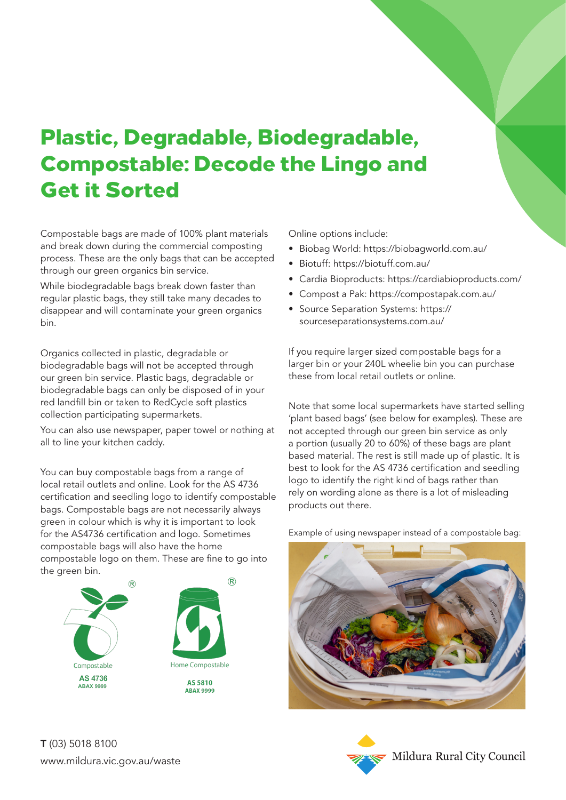## Plastic, Degradable, Biodegradable, Compostable: Decode the Lingo and Get it Sorted

Compostable bags are made of 100% plant materials and break down during the commercial composting process. These are the only bags that can be accepted through our green organics bin service.

While biodegradable bags break down faster than regular plastic bags, they still take many decades to disappear and will contaminate your green organics bin.

Organics collected in plastic, degradable or biodegradable bags will not be accepted through our green bin service. Plastic bags, degradable or biodegradable bags can only be disposed of in your red landfill bin or taken to RedCycle soft plastics collection participating supermarkets.

You can also use newspaper, paper towel or nothing at all to line your kitchen caddy.

You can buy compostable bags from a range of local retail outlets and online. Look for the AS 4736 certification and seedling logo to identify compostable bags. Compostable bags are not necessarily always green in colour which is why it is important to look for the AS4736 certification and logo. Sometimes compostable bags will also have the home compostable logo on them. These are fine to go into the areen bin.



Online options include:

- Biobag World: https://biobagworld.com.au/
- Biotuff: https://biotuff.com.au/
- Cardia Bioproducts: https://cardiabioproducts.com/
- Compost a Pak: https://compostapak.com.au/
- Source Separation Systems: https:// sourceseparationsystems.com.au/

If you require larger sized compostable bags for a larger bin or your 240L wheelie bin you can purchase these from local retail outlets or online.

Note that some local supermarkets have started selling 'plant based bags' (see below for examples). These are not accepted through our green bin service as only a portion (usually 20 to 60%) of these bags are plant based material. The rest is still made up of plastic. It is best to look for the AS 4736 certification and seedling logo to identify the right kind of bags rather than rely on wording alone as there is a lot of misleading products out there.

Example of using newspaper instead of a compostable bag: